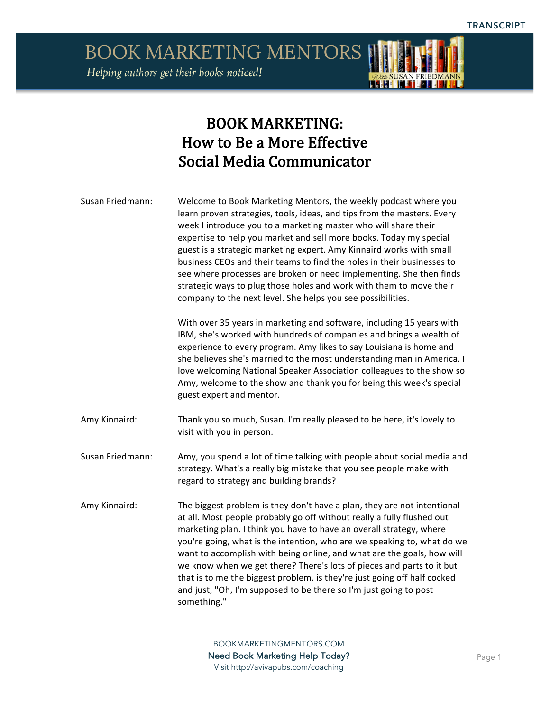**BOOK MARKETING MENTORS** Helping authors get their books noticed!

### BOOK MARKETING: How to Be a More Effective Social Media Communicator

Susan Friedmann: Welcome to Book Marketing Mentors, the weekly podcast where you learn proven strategies, tools, ideas, and tips from the masters. Every week I introduce you to a marketing master who will share their expertise to help you market and sell more books. Today my special guest is a strategic marketing expert. Amy Kinnaird works with small business CEOs and their teams to find the holes in their businesses to see where processes are broken or need implementing. She then finds strategic ways to plug those holes and work with them to move their company to the next level. She helps you see possibilities. With over 35 years in marketing and software, including 15 years with

IBM, she's worked with hundreds of companies and brings a wealth of experience to every program. Amy likes to say Louisiana is home and she believes she's married to the most understanding man in America. I love welcoming National Speaker Association colleagues to the show so Amy, welcome to the show and thank you for being this week's special guest expert and mentor.

Amy Kinnaird: Thank you so much, Susan. I'm really pleased to be here, it's lovely to visit with you in person.

Susan Friedmann: Amy, you spend a lot of time talking with people about social media and strategy. What's a really big mistake that you see people make with regard to strategy and building brands?

Amy Kinnaird: The biggest problem is they don't have a plan, they are not intentional at all. Most people probably go off without really a fully flushed out marketing plan. I think you have to have an overall strategy, where you're going, what is the intention, who are we speaking to, what do we want to accomplish with being online, and what are the goals, how will we know when we get there? There's lots of pieces and parts to it but that is to me the biggest problem, is they're just going off half cocked and just, "Oh, I'm supposed to be there so I'm just going to post something."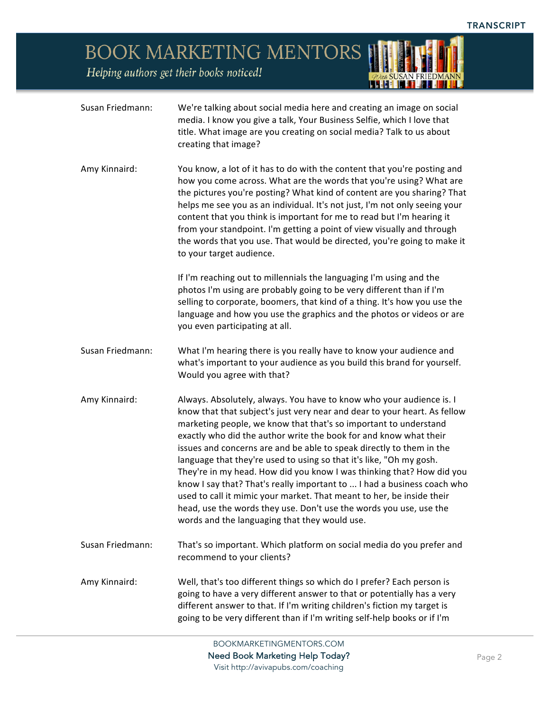*ODUA SUSAN FRIEDMANN* 

### BOOK MARKETING MENTORS

Helping authors get their books noticed!

| Susan Friedmann: | We're talking about social media here and creating an image on social<br>media. I know you give a talk, Your Business Selfie, which I love that<br>title. What image are you creating on social media? Talk to us about<br>creating that image?                                                                                                                                                                                                                                                                                                                                                                                                                                                                                                                                               |
|------------------|-----------------------------------------------------------------------------------------------------------------------------------------------------------------------------------------------------------------------------------------------------------------------------------------------------------------------------------------------------------------------------------------------------------------------------------------------------------------------------------------------------------------------------------------------------------------------------------------------------------------------------------------------------------------------------------------------------------------------------------------------------------------------------------------------|
| Amy Kinnaird:    | You know, a lot of it has to do with the content that you're posting and<br>how you come across. What are the words that you're using? What are<br>the pictures you're posting? What kind of content are you sharing? That<br>helps me see you as an individual. It's not just, I'm not only seeing your<br>content that you think is important for me to read but I'm hearing it<br>from your standpoint. I'm getting a point of view visually and through<br>the words that you use. That would be directed, you're going to make it<br>to your target audience.                                                                                                                                                                                                                            |
|                  | If I'm reaching out to millennials the languaging I'm using and the<br>photos I'm using are probably going to be very different than if I'm<br>selling to corporate, boomers, that kind of a thing. It's how you use the<br>language and how you use the graphics and the photos or videos or are<br>you even participating at all.                                                                                                                                                                                                                                                                                                                                                                                                                                                           |
| Susan Friedmann: | What I'm hearing there is you really have to know your audience and<br>what's important to your audience as you build this brand for yourself.<br>Would you agree with that?                                                                                                                                                                                                                                                                                                                                                                                                                                                                                                                                                                                                                  |
| Amy Kinnaird:    | Always. Absolutely, always. You have to know who your audience is. I<br>know that that subject's just very near and dear to your heart. As fellow<br>marketing people, we know that that's so important to understand<br>exactly who did the author write the book for and know what their<br>issues and concerns are and be able to speak directly to them in the<br>language that they're used to using so that it's like, "Oh my gosh.<br>They're in my head. How did you know I was thinking that? How did you<br>know I say that? That's really important to  I had a business coach who<br>used to call it mimic your market. That meant to her, be inside their<br>head, use the words they use. Don't use the words you use, use the<br>words and the languaging that they would use. |
| Susan Friedmann: | That's so important. Which platform on social media do you prefer and<br>recommend to your clients?                                                                                                                                                                                                                                                                                                                                                                                                                                                                                                                                                                                                                                                                                           |
| Amy Kinnaird:    | Well, that's too different things so which do I prefer? Each person is<br>going to have a very different answer to that or potentially has a very<br>different answer to that. If I'm writing children's fiction my target is<br>going to be very different than if I'm writing self-help books or if I'm                                                                                                                                                                                                                                                                                                                                                                                                                                                                                     |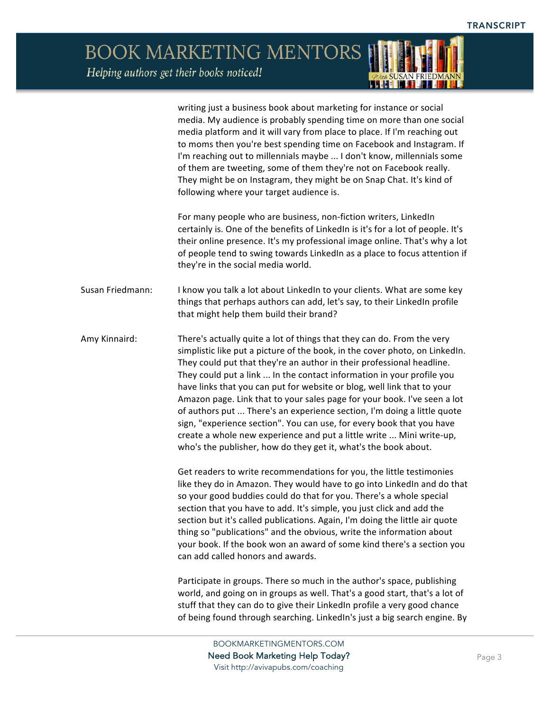. . I HI

**BOOK MARKETING MENTORS** Helping authors get their books noticed!

writing just a business book about marketing for instance or social media. My audience is probably spending time on more than one social media platform and it will vary from place to place. If I'm reaching out to moms then you're best spending time on Facebook and Instagram. If I'm reaching out to millennials maybe ... I don't know, millennials some of them are tweeting, some of them they're not on Facebook really. They might be on Instagram, they might be on Snap Chat. It's kind of following where your target audience is. For many people who are business, non-fiction writers, LinkedIn certainly is. One of the benefits of LinkedIn is it's for a lot of people. It's their online presence. It's my professional image online. That's why a lot of people tend to swing towards LinkedIn as a place to focus attention if they're in the social media world. Susan Friedmann: I know you talk a lot about LinkedIn to your clients. What are some key things that perhaps authors can add, let's say, to their LinkedIn profile that might help them build their brand? Amy Kinnaird: There's actually quite a lot of things that they can do. From the very simplistic like put a picture of the book, in the cover photo, on LinkedIn. They could put that they're an author in their professional headline. They could put a link ... In the contact information in your profile you have links that you can put for website or blog, well link that to your Amazon page. Link that to your sales page for your book. I've seen a lot of authors put ... There's an experience section, I'm doing a little quote sign, "experience section". You can use, for every book that you have create a whole new experience and put a little write ... Mini write-up, who's the publisher, how do they get it, what's the book about. Get readers to write recommendations for you, the little testimonies like they do in Amazon. They would have to go into LinkedIn and do that so your good buddies could do that for you. There's a whole special section that you have to add. It's simple, you just click and add the section but it's called publications. Again, I'm doing the little air quote thing so "publications" and the obvious, write the information about your book. If the book won an award of some kind there's a section you can add called honors and awards. Participate in groups. There so much in the author's space, publishing world, and going on in groups as well. That's a good start, that's a lot of stuff that they can do to give their LinkedIn profile a very good chance of being found through searching. LinkedIn's just a big search engine. By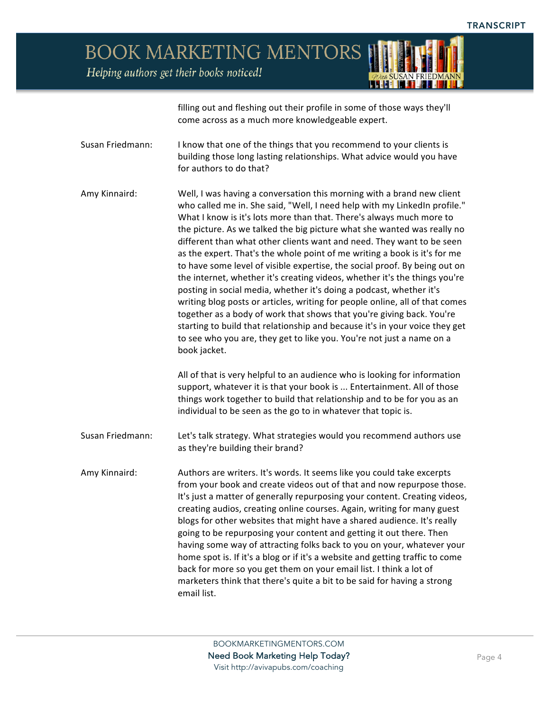Helping authors get their books noticed!

filling out and fleshing out their profile in some of those ways they'll come across as a much more knowledgeable expert.

Susan Friedmann: I know that one of the things that you recommend to your clients is building those long lasting relationships. What advice would you have for authors to do that?

Amy Kinnaird: Well, I was having a conversation this morning with a brand new client who called me in. She said, "Well, I need help with my LinkedIn profile." What I know is it's lots more than that. There's always much more to the picture. As we talked the big picture what she wanted was really no different than what other clients want and need. They want to be seen as the expert. That's the whole point of me writing a book is it's for me to have some level of visible expertise, the social proof. By being out on the internet, whether it's creating videos, whether it's the things you're posting in social media, whether it's doing a podcast, whether it's writing blog posts or articles, writing for people online, all of that comes together as a body of work that shows that you're giving back. You're starting to build that relationship and because it's in your voice they get to see who you are, they get to like you. You're not just a name on a book jacket.

> All of that is very helpful to an audience who is looking for information support, whatever it is that your book is ... Entertainment. All of those things work together to build that relationship and to be for you as an individual to be seen as the go to in whatever that topic is.

Susan Friedmann: Let's talk strategy. What strategies would you recommend authors use as they're building their brand?

Amy Kinnaird: Authors are writers. It's words. It seems like you could take excerpts from your book and create videos out of that and now repurpose those. It's just a matter of generally repurposing your content. Creating videos, creating audios, creating online courses. Again, writing for many guest blogs for other websites that might have a shared audience. It's really going to be repurposing your content and getting it out there. Then having some way of attracting folks back to you on your, whatever your home spot is. If it's a blog or if it's a website and getting traffic to come back for more so you get them on your email list. I think a lot of marketers think that there's quite a bit to be said for having a strong email list.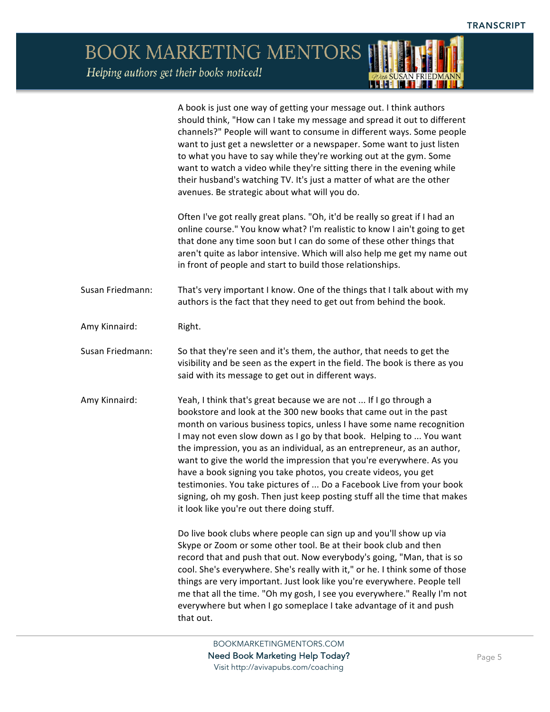*ADun* SUSAN FRIEDMANN

BOOK MARKETING MENTORS Helping authors get their books noticed!

|                  | A book is just one way of getting your message out. I think authors<br>should think, "How can I take my message and spread it out to different<br>channels?" People will want to consume in different ways. Some people<br>want to just get a newsletter or a newspaper. Some want to just listen<br>to what you have to say while they're working out at the gym. Some<br>want to watch a video while they're sitting there in the evening while<br>their husband's watching TV. It's just a matter of what are the other<br>avenues. Be strategic about what will you do.                                                                                                                                    |
|------------------|----------------------------------------------------------------------------------------------------------------------------------------------------------------------------------------------------------------------------------------------------------------------------------------------------------------------------------------------------------------------------------------------------------------------------------------------------------------------------------------------------------------------------------------------------------------------------------------------------------------------------------------------------------------------------------------------------------------|
|                  | Often I've got really great plans. "Oh, it'd be really so great if I had an<br>online course." You know what? I'm realistic to know I ain't going to get<br>that done any time soon but I can do some of these other things that<br>aren't quite as labor intensive. Which will also help me get my name out<br>in front of people and start to build those relationships.                                                                                                                                                                                                                                                                                                                                     |
| Susan Friedmann: | That's very important I know. One of the things that I talk about with my<br>authors is the fact that they need to get out from behind the book.                                                                                                                                                                                                                                                                                                                                                                                                                                                                                                                                                               |
| Amy Kinnaird:    | Right.                                                                                                                                                                                                                                                                                                                                                                                                                                                                                                                                                                                                                                                                                                         |
| Susan Friedmann: | So that they're seen and it's them, the author, that needs to get the<br>visibility and be seen as the expert in the field. The book is there as you<br>said with its message to get out in different ways.                                                                                                                                                                                                                                                                                                                                                                                                                                                                                                    |
| Amy Kinnaird:    | Yeah, I think that's great because we are not  If I go through a<br>bookstore and look at the 300 new books that came out in the past<br>month on various business topics, unless I have some name recognition<br>I may not even slow down as I go by that book. Helping to  You want<br>the impression, you as an individual, as an entrepreneur, as an author,<br>want to give the world the impression that you're everywhere. As you<br>have a book signing you take photos, you create videos, you get<br>testimonies. You take pictures of  Do a Facebook Live from your book<br>signing, oh my gosh. Then just keep posting stuff all the time that makes<br>it look like you're out there doing stuff. |
|                  | Do live book clubs where people can sign up and you'll show up via<br>Skype or Zoom or some other tool. Be at their book club and then<br>record that and push that out. Now everybody's going, "Man, that is so<br>cool. She's everywhere. She's really with it," or he. I think some of those<br>things are very important. Just look like you're everywhere. People tell<br>me that all the time. "Oh my gosh, I see you everywhere." Really I'm not<br>everywhere but when I go someplace I take advantage of it and push<br>that out.                                                                                                                                                                     |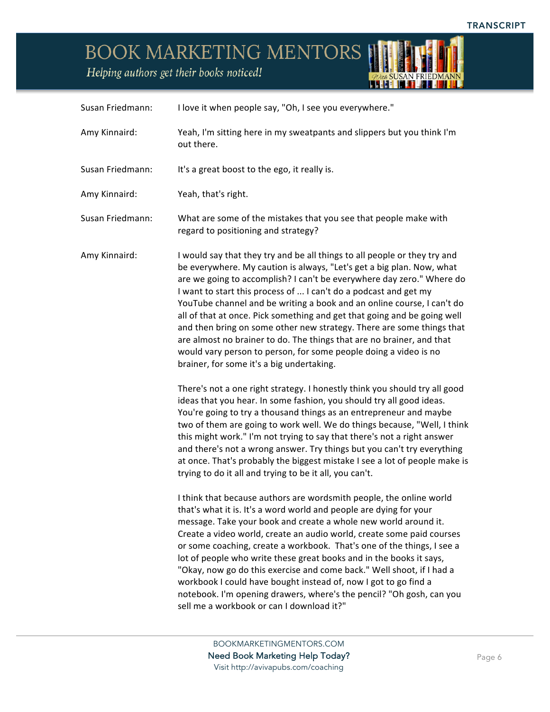*ODUA SUSAN FRIEDMANN* 

BOOK MARKETING MENTORS

Helping authors get their books noticed!

| Susan Friedmann: | I love it when people say, "Oh, I see you everywhere."                                                                                                                                                                                                                                                                                                                                                                                                                                                                                                                                                                                                                                                                   |
|------------------|--------------------------------------------------------------------------------------------------------------------------------------------------------------------------------------------------------------------------------------------------------------------------------------------------------------------------------------------------------------------------------------------------------------------------------------------------------------------------------------------------------------------------------------------------------------------------------------------------------------------------------------------------------------------------------------------------------------------------|
| Amy Kinnaird:    | Yeah, I'm sitting here in my sweatpants and slippers but you think I'm<br>out there.                                                                                                                                                                                                                                                                                                                                                                                                                                                                                                                                                                                                                                     |
| Susan Friedmann: | It's a great boost to the ego, it really is.                                                                                                                                                                                                                                                                                                                                                                                                                                                                                                                                                                                                                                                                             |
| Amy Kinnaird:    | Yeah, that's right.                                                                                                                                                                                                                                                                                                                                                                                                                                                                                                                                                                                                                                                                                                      |
| Susan Friedmann: | What are some of the mistakes that you see that people make with<br>regard to positioning and strategy?                                                                                                                                                                                                                                                                                                                                                                                                                                                                                                                                                                                                                  |
| Amy Kinnaird:    | I would say that they try and be all things to all people or they try and<br>be everywhere. My caution is always, "Let's get a big plan. Now, what<br>are we going to accomplish? I can't be everywhere day zero." Where do<br>I want to start this process of  I can't do a podcast and get my<br>YouTube channel and be writing a book and an online course, I can't do<br>all of that at once. Pick something and get that going and be going well<br>and then bring on some other new strategy. There are some things that<br>are almost no brainer to do. The things that are no brainer, and that<br>would vary person to person, for some people doing a video is no<br>brainer, for some it's a big undertaking. |
|                  | There's not a one right strategy. I honestly think you should try all good<br>ideas that you hear. In some fashion, you should try all good ideas.<br>You're going to try a thousand things as an entrepreneur and maybe<br>two of them are going to work well. We do things because, "Well, I think<br>this might work." I'm not trying to say that there's not a right answer<br>and there's not a wrong answer. Try things but you can't try everything<br>at once. That's probably the biggest mistake I see a lot of people make is<br>trying to do it all and trying to be it all, you can't.                                                                                                                      |
|                  | I think that because authors are wordsmith people, the online world<br>that's what it is. It's a word world and people are dying for your<br>message. Take your book and create a whole new world around it.<br>Create a video world, create an audio world, create some paid courses<br>or some coaching, create a workbook. That's one of the things, I see a<br>lot of people who write these great books and in the books it says,<br>"Okay, now go do this exercise and come back." Well shoot, if I had a<br>workbook I could have bought instead of, now I got to go find a<br>notebook. I'm opening drawers, where's the pencil? "Oh gosh, can you<br>sell me a workbook or can I download it?"                  |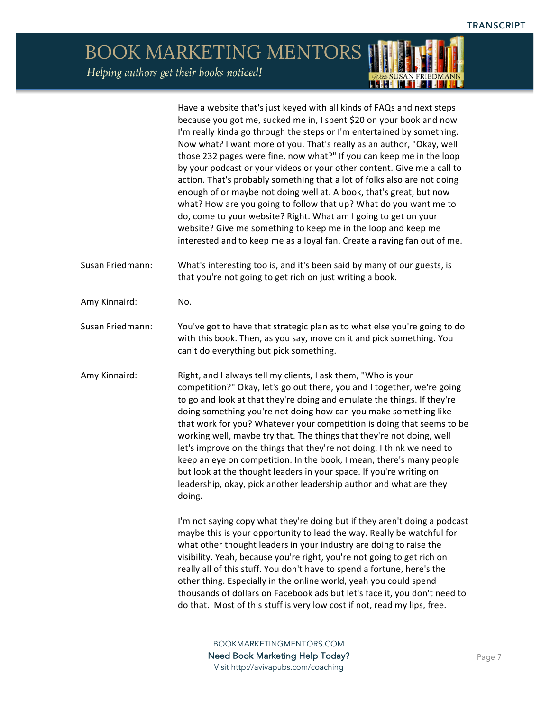#### **BOOK MARKETING MENTORS** Helping authors get their books noticed!

Have a website that's just keyed with all kinds of FAQs and next steps because you got me, sucked me in, I spent \$20 on your book and now I'm really kinda go through the steps or I'm entertained by something. Now what? I want more of you. That's really as an author, "Okay, well those 232 pages were fine, now what?" If you can keep me in the loop by your podcast or your videos or your other content. Give me a call to action. That's probably something that a lot of folks also are not doing enough of or maybe not doing well at. A book, that's great, but now what? How are you going to follow that up? What do you want me to do, come to your website? Right. What am I going to get on your website? Give me something to keep me in the loop and keep me interested and to keep me as a loyal fan. Create a raving fan out of me.

Susan Friedmann: What's interesting too is, and it's been said by many of our guests, is that you're not going to get rich on just writing a book.

Amy Kinnaird: No.

Susan Friedmann: You've got to have that strategic plan as to what else you're going to do with this book. Then, as you say, move on it and pick something. You can't do everything but pick something.

Amy Kinnaird: Right, and I always tell my clients, I ask them, "Who is your competition?" Okay, let's go out there, you and I together, we're going to go and look at that they're doing and emulate the things. If they're doing something you're not doing how can you make something like that work for you? Whatever your competition is doing that seems to be working well, maybe try that. The things that they're not doing, well let's improve on the things that they're not doing. I think we need to keep an eye on competition. In the book, I mean, there's many people but look at the thought leaders in your space. If you're writing on leadership, okay, pick another leadership author and what are they doing.

> I'm not saying copy what they're doing but if they aren't doing a podcast maybe this is your opportunity to lead the way. Really be watchful for what other thought leaders in your industry are doing to raise the visibility. Yeah, because you're right, you're not going to get rich on really all of this stuff. You don't have to spend a fortune, here's the other thing. Especially in the online world, yeah you could spend thousands of dollars on Facebook ads but let's face it, you don't need to do that. Most of this stuff is very low cost if not, read my lips, free.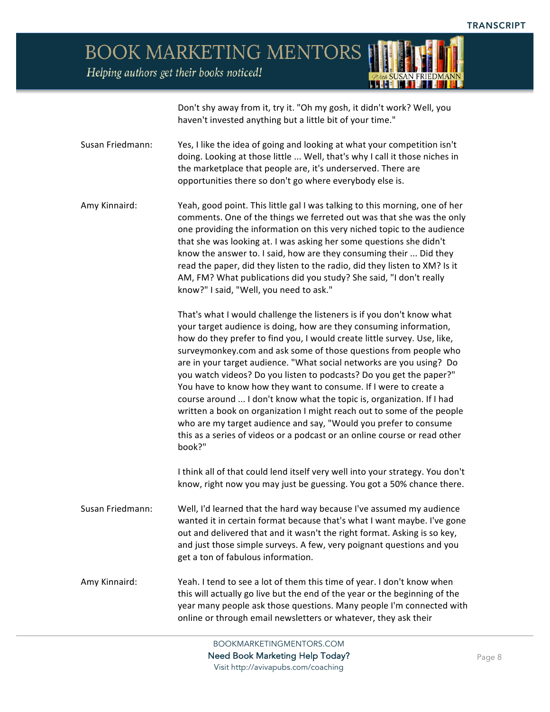

Helping authors get their books noticed!

Don't shy away from it, try it. "Oh my gosh, it didn't work? Well, you haven't invested anything but a little bit of your time."

Susan Friedmann: Yes, I like the idea of going and looking at what your competition isn't doing. Looking at those little ... Well, that's why I call it those niches in the marketplace that people are, it's underserved. There are opportunities there so don't go where everybody else is.

Amy Kinnaird: Yeah, good point. This little gal I was talking to this morning, one of her comments. One of the things we ferreted out was that she was the only one providing the information on this very niched topic to the audience that she was looking at. I was asking her some questions she didn't know the answer to. I said, how are they consuming their ... Did they read the paper, did they listen to the radio, did they listen to XM? Is it AM, FM? What publications did you study? She said, "I don't really know?" I said, "Well, you need to ask."

> That's what I would challenge the listeners is if you don't know what your target audience is doing, how are they consuming information, how do they prefer to find you, I would create little survey. Use, like, surveymonkey.com and ask some of those questions from people who are in your target audience. "What social networks are you using? Do you watch videos? Do you listen to podcasts? Do you get the paper?" You have to know how they want to consume. If I were to create a course around ... I don't know what the topic is, organization. If I had written a book on organization I might reach out to some of the people who are my target audience and say, "Would you prefer to consume this as a series of videos or a podcast or an online course or read other book?"

> I think all of that could lend itself very well into your strategy. You don't know, right now you may just be guessing. You got a 50% chance there.

- Susan Friedmann: Well, I'd learned that the hard way because I've assumed my audience wanted it in certain format because that's what I want maybe. I've gone out and delivered that and it wasn't the right format. Asking is so key, and just those simple surveys. A few, very poignant questions and you get a ton of fabulous information.
- Amy Kinnaird: Yeah. I tend to see a lot of them this time of year. I don't know when this will actually go live but the end of the year or the beginning of the year many people ask those questions. Many people I'm connected with online or through email newsletters or whatever, they ask their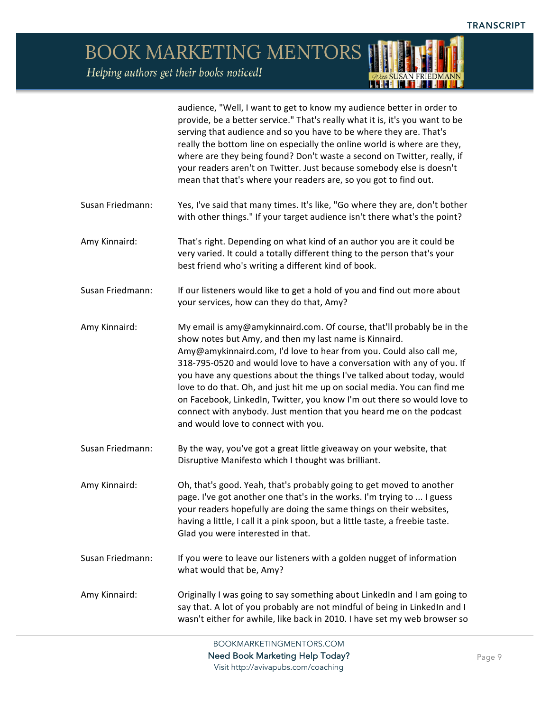Helping authors get their books noticed!

audience, "Well, I want to get to know my audience better in order to provide, be a better service." That's really what it is, it's you want to be serving that audience and so you have to be where they are. That's really the bottom line on especially the online world is where are they, where are they being found? Don't waste a second on Twitter, really, if your readers aren't on Twitter. Just because somebody else is doesn't mean that that's where your readers are, so you got to find out. Susan Friedmann: Yes, I've said that many times. It's like, "Go where they are, don't bother with other things." If your target audience isn't there what's the point? Amy Kinnaird: That's right. Depending on what kind of an author you are it could be very varied. It could a totally different thing to the person that's your best friend who's writing a different kind of book. Susan Friedmann: If our listeners would like to get a hold of you and find out more about your services, how can they do that, Amy? Amy Kinnaird: My email is amy@amykinnaird.com. Of course, that'll probably be in the show notes but Amy, and then my last name is Kinnaird. Amy@amykinnaird.com, I'd love to hear from you. Could also call me, 318-795-0520 and would love to have a conversation with any of you. If you have any questions about the things I've talked about today, would love to do that. Oh, and just hit me up on social media. You can find me on Facebook, LinkedIn, Twitter, you know I'm out there so would love to connect with anybody. Just mention that you heard me on the podcast and would love to connect with you. Susan Friedmann: By the way, you've got a great little giveaway on your website, that Disruptive Manifesto which I thought was brilliant. Amy Kinnaird: Oh, that's good. Yeah, that's probably going to get moved to another page. I've got another one that's in the works. I'm trying to ... I guess your readers hopefully are doing the same things on their websites, having a little, I call it a pink spoon, but a little taste, a freebie taste. Glad you were interested in that. Susan Friedmann: If you were to leave our listeners with a golden nugget of information what would that be, Amy? Amy Kinnaird: Criginally I was going to say something about LinkedIn and I am going to say that. A lot of you probably are not mindful of being in LinkedIn and I wasn't either for awhile, like back in 2010. I have set my web browser so